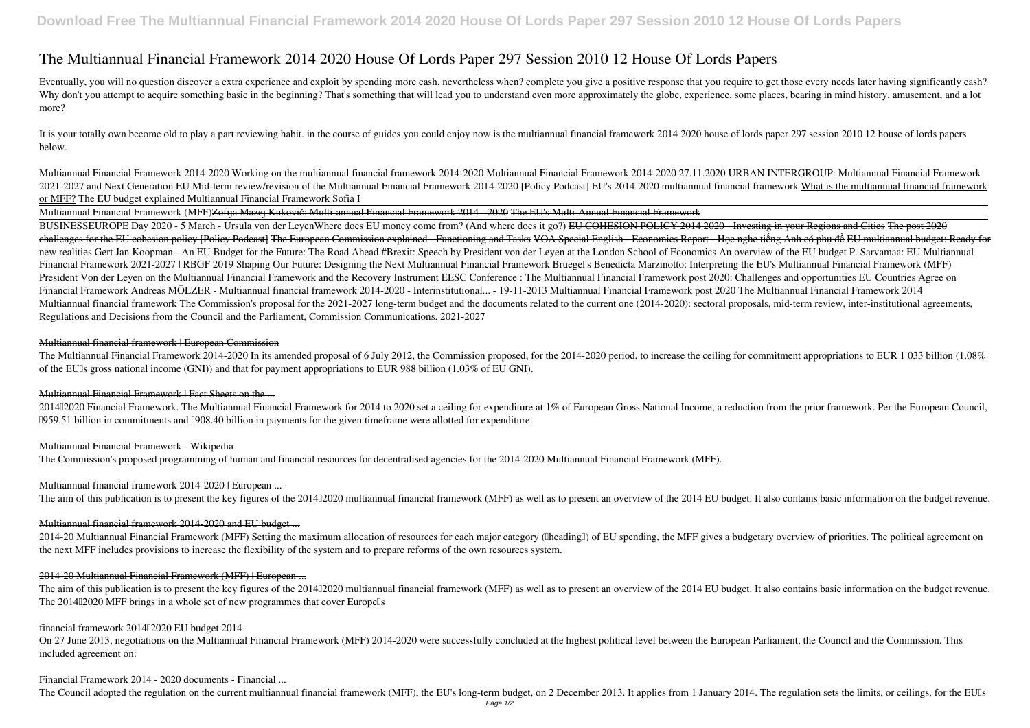# **The Multiannual Financial Framework 2014 2020 House Of Lords Paper 297 Session 2010 12 House Of Lords Papers**

Eventually, you will no question discover a extra experience and exploit by spending more cash. nevertheless when? complete you give a positive response that you require to get those every needs later having significantly Why don't you attempt to acquire something basic in the beginning? That's something that will lead you to understand even more approximately the globe, experience, some places, bearing in mind history, amusement, and a lot more?

It is your totally own become old to play a part reviewing habit, in the course of guides you could enjoy now is the multiannual financial framework 2014 2020 house of lords paper 297 session 2010 12 house of lords papers below.

Multiannual Financial Framework 2014-2020 *Working on the multiannual financial framework 2014-2020* Multiannual Financial Framework 2014-2020 **27.11.2020 URBAN INTERGROUP: Multiannual Financial Framework** 2021-2027 and Next Generation EU Mid-term review/revision of the Multiannual Financial Framework 2014-2020 [Policy Podcast] EU's 2014-2020 multiannual financial framework What is the multiannual financial framework or MFF? The EU budget explained **Multiannual Financial Framework Sofia I**

Multiannual Financial Framework (MFF)Zofija Mazej Kukovič: Multi-annual Financial Framework 2014 - 2020 The EU's Multi-Annual Financial Framework

BUSINESSEUROPE Day 2020 - 5 March - Ursula von der LeyenWhere does EU money come from? (And where does it go?) <del>EU COHESION POLICY 2014 2020 Investing in your Regions and Cities The post 2020</del> challenges for the EU cohesion policy [Policy Podcast] The European Commission explained - Functioning and Tasks VOA Special English - Economics Report - Học nghe tiếng Anh có phụ đề EU multiannual budget: Ready for new realities Gert Jan Koopman - An EU Budget for the Future: The Road Ahead #Brexit: Speech by President von der Leyen at the London School of Economics *An overview of the EU budget* **P. Sarvamaa: EU Multiannual** Financial Framework 2021-2027 | RBGF 2019 Shaping Our Future: Designing the Next Multiannual Financial Framework Bruegel's Benedicta Marzinotto: Interpreting the EU's Multiannual Financial Framework (MFF) President Von der Leyen on the Multiannual Financial Framework and the Recovery Instrument EESC Conference : The Multiannual Financial Framework post 2020: Challenges and opportunities <del>EU Countries Agree on</del> Financial Framework *Andreas MÖLZER - Multiannual financial framework 2014-2020 - Interinstitutional... - 19-11-2013 Multiannual Financial Framework post 2020* The Multiannual Financial Framework 2014 Multiannual financial framework The Commission's proposal for the 2021-2027 long-term budget and the documents related to the current one (2014-2020): sectoral proposals, mid-term review, inter-institutional agreements, Regulations and Decisions from the Council and the Parliament, Commission Communications. 2021-2027

2014–2020 Financial Framework. The Multiannual Financial Framework for 2014 to 2020 set a ceiling for expenditure at 1% of European Gross National Income, a reduction from the prior framework. Per the European Council, □959.51 billion in commitments and □908.40 billion in payments for the given timeframe were allotted for expenditure.

2014-20 Multiannual Financial Framework (MFF) Setting the maximum allocation of resources for each major category ([lheading]] of EU spending, the MFF gives a budgetary overview of priorities. The political agreement on the next MFF includes provisions to increase the flexibility of the system and to prepare reforms of the own resources system.

### Multiannual financial framework | European Commission

The Multiannual Financial Framework 2014-2020 In its amended proposal of 6 July 2012, the Commission proposed, for the 2014-2020 period, to increase the ceiling for commitment appropriations to EUR 1 033 billion (1.08%) of the EUIs gross national income (GNI)) and that for payment appropriations to EUR 988 billion (1.03% of EU GNI).

### Multiannual Financial Framework | Fact Sheets on the ...

# Multiannual Financial Framework - Wikipedia

The Commission's proposed programming of human and financial resources for decentralised agencies for the 2014-2020 Multiannual Financial Framework (MFF).

# Multiannual financial framework 2014-2020 | European ...

The aim of this publication is to present the key figures of the 201402020 multiannual financial framework (MFF) as well as to present an overview of the 2014 EU budget. It also contains basic information on the budget rev

# Multiannual financial framework 2014-2020 and EU budget ...

### 2014-20 Multiannual Financial Framework (MFF) | European ...

The aim of this publication is to present the key figures of the 201402020 multiannual financial framework (MFF) as well as to present an overview of the 2014 EU budget. It also contains basic information on the budget rev The 201402020 MFF brings in a whole set of new programmes that cover Europel's

### financial framework 2014 2020 EU budget 2014

On 27 June 2013, negotiations on the Multiannual Financial Framework (MFF) 2014-2020 were successfully concluded at the highest political level between the European Parliament, the Council and the Commission. This included agreement on:

### Financial Framework 2014 - 2020 documents - Financial ...

The Council adopted the regulation on the current multiannual financial framework (MFF), the EU's long-term budget, on 2 December 2013. It applies from 1 January 2014. The regulation sets the limits, or ceilings, for the E